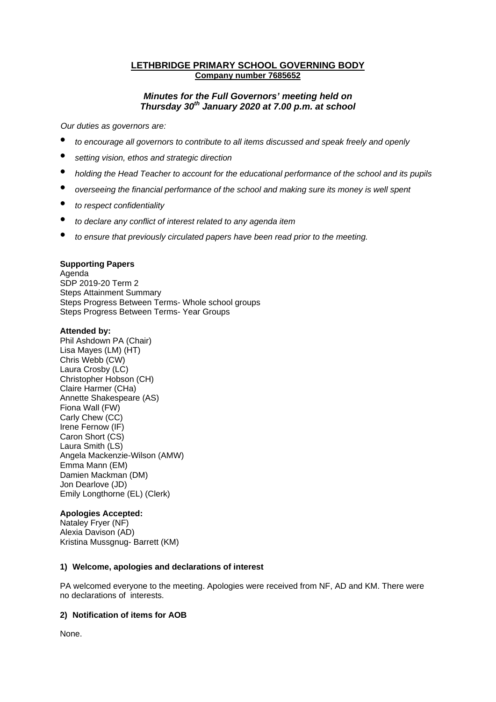## **LETHBRIDGE PRIMARY SCHOOL GOVERNING BODY Company number 7685652**

## *Minutes for the Full Governors' meeting held on Thursday 30th January 2020 at 7.00 p.m. at school*

*Our duties as governors are:* 

- *to encourage all governors to contribute to all items discussed and speak freely and openly*
- *setting vision, ethos and strategic direction*
- *holding the Head Teacher to account for the educational performance of the school and its pupils*
- *overseeing the financial performance of the school and making sure its money is well spent*
- *to respect confidentiality*
- *to declare any conflict of interest related to any agenda item*
- *to ensure that previously circulated papers have been read prior to the meeting.*

#### **Supporting Papers**

Agenda SDP 2019-20 Term 2 Steps Attainment Summary Steps Progress Between Terms- Whole school groups Steps Progress Between Terms- Year Groups

#### **Attended by:**

Phil Ashdown PA (Chair) Lisa Mayes (LM) (HT) Chris Webb (CW) Laura Crosby (LC) Christopher Hobson (CH) Claire Harmer (CHa) Annette Shakespeare (AS) Fiona Wall (FW) Carly Chew (CC) Irene Fernow (IF) Caron Short (CS) Laura Smith (LS) Angela Mackenzie-Wilson (AMW) Emma Mann (EM) Damien Mackman (DM) Jon Dearlove (JD) Emily Longthorne (EL) (Clerk)

#### **Apologies Accepted:**

Nataley Fryer (NF) Alexia Davison (AD) Kristina Mussgnug- Barrett (KM)

#### **1) Welcome, apologies and declarations of interest**

PA welcomed everyone to the meeting. Apologies were received from NF, AD and KM. There were no declarations of interests.

## **2) Notification of items for AOB**

None.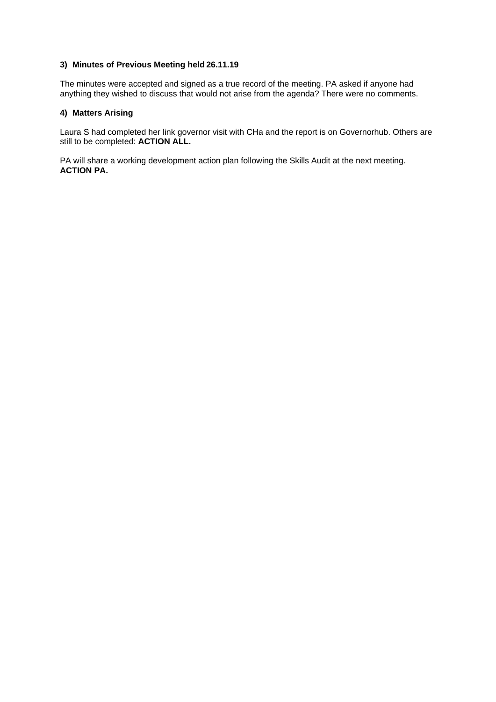### **3) Minutes of Previous Meeting held 26.11.19**

The minutes were accepted and signed as a true record of the meeting. PA asked if anyone had anything they wished to discuss that would not arise from the agenda? There were no comments.

#### **4) Matters Arising**

Laura S had completed her link governor visit with CHa and the report is on Governorhub. Others are still to be completed: **ACTION ALL.** 

PA will share a working development action plan following the Skills Audit at the next meeting. **ACTION PA.**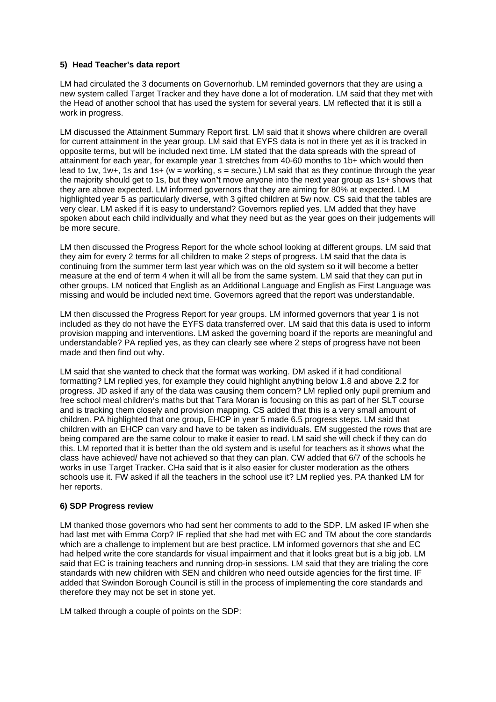## **5) Head Teacher's data report**

LM had circulated the 3 documents on Governorhub. LM reminded governors that they are using a new system called Target Tracker and they have done a lot of moderation. LM said that they met with the Head of another school that has used the system for several years. LM reflected that it is still a work in progress.

LM discussed the Attainment Summary Report first. LM said that it shows where children are overall for current attainment in the year group. LM said that EYFS data is not in there yet as it is tracked in opposite terms, but will be included next time. LM stated that the data spreads with the spread of attainment for each year, for example year 1 stretches from 40-60 months to 1b+ which would then lead to 1w, 1w+, 1s and 1s+ (w = working, s = secure.) LM said that as they continue through the year the majority should get to 1s, but they won**'**t move anyone into the next year group as 1s+ shows that they are above expected. LM informed governors that they are aiming for 80% at expected. LM highlighted year 5 as particularly diverse, with 3 gifted children at 5w now. CS said that the tables are very clear. LM asked if it is easy to understand? Governors replied yes. LM added that they have spoken about each child individually and what they need but as the year goes on their judgements will be more secure.

LM then discussed the Progress Report for the whole school looking at different groups. LM said that they aim for every 2 terms for all children to make 2 steps of progress. LM said that the data is continuing from the summer term last year which was on the old system so it will become a better measure at the end of term 4 when it will all be from the same system. LM said that they can put in other groups. LM noticed that English as an Additional Language and English as First Language was missing and would be included next time. Governors agreed that the report was understandable.

LM then discussed the Progress Report for year groups. LM informed governors that year 1 is not included as they do not have the EYFS data transferred over. LM said that this data is used to inform provision mapping and interventions. LM asked the governing board if the reports are meaningful and understandable? PA replied yes, as they can clearly see where 2 steps of progress have not been made and then find out why.

LM said that she wanted to check that the format was working. DM asked if it had conditional formatting? LM replied yes, for example they could highlight anything below 1.8 and above 2.2 for progress. JD asked if any of the data was causing them concern? LM replied only pupil premium and free school meal children**'**s maths but that Tara Moran is focusing on this as part of her SLT course and is tracking them closely and provision mapping. CS added that this is a very small amount of children. PA highlighted that one group, EHCP in year 5 made 6.5 progress steps. LM said that children with an EHCP can vary and have to be taken as individuals. EM suggested the rows that are being compared are the same colour to make it easier to read. LM said she will check if they can do this. LM reported that it is better than the old system and is useful for teachers as it shows what the class have achieved/ have not achieved so that they can plan. CW added that 6/7 of the schools he works in use Target Tracker. CHa said that is it also easier for cluster moderation as the others schools use it. FW asked if all the teachers in the school use it? LM replied yes. PA thanked LM for her reports.

#### **6) SDP Progress review**

LM thanked those governors who had sent her comments to add to the SDP. LM asked IF when she had last met with Emma Corp? IF replied that she had met with EC and TM about the core standards which are a challenge to implement but are best practice. LM informed governors that she and EC had helped write the core standards for visual impairment and that it looks great but is a big job. LM said that EC is training teachers and running drop-in sessions. LM said that they are trialing the core standards with new children with SEN and children who need outside agencies for the first time. IF added that Swindon Borough Council is still in the process of implementing the core standards and therefore they may not be set in stone yet.

LM talked through a couple of points on the SDP: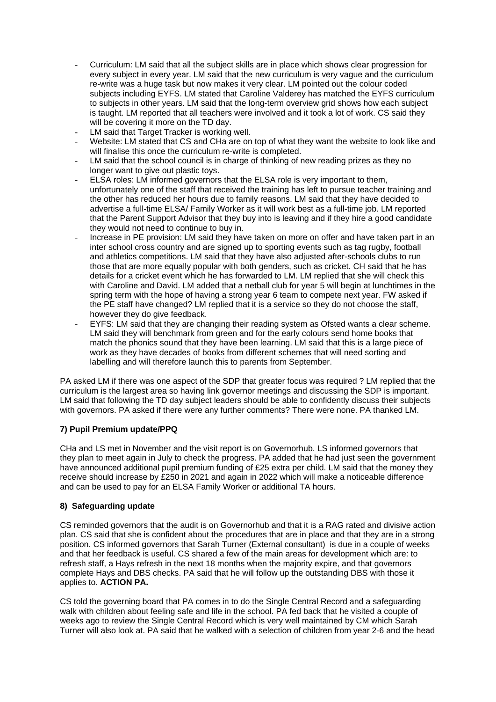- Curriculum: LM said that all the subject skills are in place which shows clear progression for every subject in every year. LM said that the new curriculum is very vague and the curriculum re-write was a huge task but now makes it very clear. LM pointed out the colour coded subjects including EYFS. LM stated that Caroline Valderey has matched the EYFS curriculum to subjects in other years. LM said that the long-term overview grid shows how each subject is taught. LM reported that all teachers were involved and it took a lot of work. CS said they will be covering it more on the TD day.
- LM said that Target Tracker is working well.
- Website: LM stated that CS and CHa are on top of what they want the website to look like and will finalise this once the curriculum re-write is completed.
- LM said that the school council is in charge of thinking of new reading prizes as they no longer want to give out plastic toys.
- ELSA roles: LM informed governors that the ELSA role is very important to them, unfortunately one of the staff that received the training has left to pursue teacher training and the other has reduced her hours due to family reasons. LM said that they have decided to advertise a full-time ELSA/ Family Worker as it will work best as a full-time job. LM reported that the Parent Support Advisor that they buy into is leaving and if they hire a good candidate they would not need to continue to buy in.
- Increase in PE provision: LM said they have taken on more on offer and have taken part in an inter school cross country and are signed up to sporting events such as tag rugby, football and athletics competitions. LM said that they have also adjusted after-schools clubs to run those that are more equally popular with both genders, such as cricket. CH said that he has details for a cricket event which he has forwarded to LM. LM replied that she will check this with Caroline and David. LM added that a netball club for year 5 will begin at lunchtimes in the spring term with the hope of having a strong year 6 team to compete next year. FW asked if the PE staff have changed? LM replied that it is a service so they do not choose the staff, however they do give feedback.
- EYFS: LM said that they are changing their reading system as Ofsted wants a clear scheme. LM said they will benchmark from green and for the early colours send home books that match the phonics sound that they have been learning. LM said that this is a large piece of work as they have decades of books from different schemes that will need sorting and labelling and will therefore launch this to parents from September.

PA asked LM if there was one aspect of the SDP that greater focus was required ? LM replied that the curriculum is the largest area so having link governor meetings and discussing the SDP is important. LM said that following the TD day subject leaders should be able to confidently discuss their subjects with governors. PA asked if there were any further comments? There were none. PA thanked LM.

## **7) Pupil Premium update/PPQ**

CHa and LS met in November and the visit report is on Governorhub. LS informed governors that they plan to meet again in July to check the progress. PA added that he had just seen the government have announced additional pupil premium funding of £25 extra per child. LM said that the money they receive should increase by £250 in 2021 and again in 2022 which will make a noticeable difference and can be used to pay for an ELSA Family Worker or additional TA hours.

## **8) Safeguarding update**

CS reminded governors that the audit is on Governorhub and that it is a RAG rated and divisive action plan. CS said that she is confident about the procedures that are in place and that they are in a strong position. CS informed governors that Sarah Turner (External consultant) is due in a couple of weeks and that her feedback is useful. CS shared a few of the main areas for development which are: to refresh staff, a Hays refresh in the next 18 months when the majority expire, and that governors complete Hays and DBS checks. PA said that he will follow up the outstanding DBS with those it applies to. **ACTION PA.** 

CS told the governing board that PA comes in to do the Single Central Record and a safeguarding walk with children about feeling safe and life in the school. PA fed back that he visited a couple of weeks ago to review the Single Central Record which is very well maintained by CM which Sarah Turner will also look at. PA said that he walked with a selection of children from year 2-6 and the head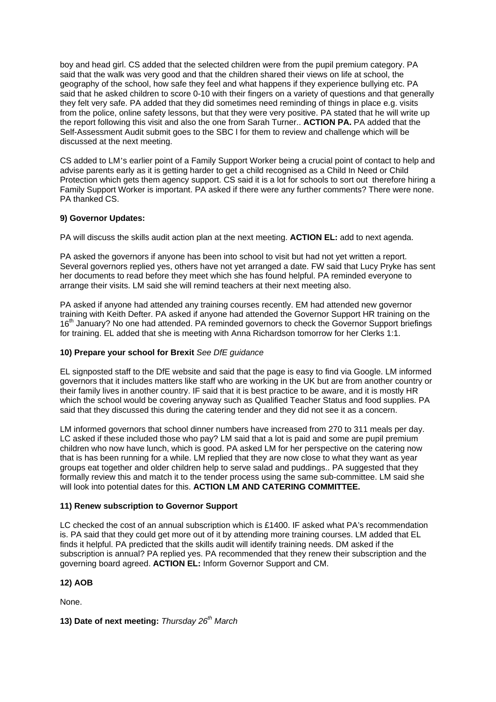boy and head girl. CS added that the selected children were from the pupil premium category. PA said that the walk was very good and that the children shared their views on life at school, the geography of the school, how safe they feel and what happens if they experience bullying etc. PA said that he asked children to score 0-10 with their fingers on a variety of questions and that generally they felt very safe. PA added that they did sometimes need reminding of things in place e.g. visits from the police, online safety lessons, but that they were very positive. PA stated that he will write up the report following this visit and also the one from Sarah Turner.. **ACTION PA.** PA added that the Self-Assessment Audit submit goes to the SBC l for them to review and challenge which will be discussed at the next meeting.

CS added to LM's earlier point of a Family Support Worker being a crucial point of contact to help and advise parents early as it is getting harder to get a child recognised as a Child In Need or Child Protection which gets them agency support. CS said it is a lot for schools to sort out therefore hiring a Family Support Worker is important. PA asked if there were any further comments? There were none. PA thanked CS.

## **9) Governor Updates:**

PA will discuss the skills audit action plan at the next meeting. **ACTION EL:** add to next agenda.

PA asked the governors if anyone has been into school to visit but had not yet written a report. Several governors replied yes, others have not yet arranged a date. FW said that Lucy Pryke has sent her documents to read before they meet which she has found helpful. PA reminded everyone to arrange their visits. LM said she will remind teachers at their next meeting also.

PA asked if anyone had attended any training courses recently. EM had attended new governor training with Keith Defter. PA asked if anyone had attended the Governor Support HR training on the 16<sup>th</sup> January? No one had attended. PA reminded governors to check the Governor Support briefings for training. EL added that she is meeting with Anna Richardson tomorrow for her Clerks 1:1.

### **10) Prepare your school for Brexit** *See DfE guidance*

EL signposted staff to the DfE website and said that the page is easy to find via Google. LM informed governors that it includes matters like staff who are working in the UK but are from another country or their family lives in another country. IF said that it is best practice to be aware, and it is mostly HR which the school would be covering anyway such as Qualified Teacher Status and food supplies. PA said that they discussed this during the catering tender and they did not see it as a concern.

LM informed governors that school dinner numbers have increased from 270 to 311 meals per day. LC asked if these included those who pay? LM said that a lot is paid and some are pupil premium children who now have lunch, which is good. PA asked LM for her perspective on the catering now that is has been running for a while. LM replied that they are now close to what they want as year groups eat together and older children help to serve salad and puddings.. PA suggested that they formally review this and match it to the tender process using the same sub-committee. LM said she will look into potential dates for this. **ACTION LM AND CATERING COMMITTEE.**

## **11) Renew subscription to Governor Support**

LC checked the cost of an annual subscription which is £1400. IF asked what PA's recommendation is. PA said that they could get more out of it by attending more training courses. LM added that EL finds it helpful. PA predicted that the skills audit will identify training needs. DM asked if the subscription is annual? PA replied yes. PA recommended that they renew their subscription and the governing board agreed. **ACTION EL:** Inform Governor Support and CM.

## **12) AOB**

None.

## **13) Date of next meeting: Thursday 26<sup>th</sup> March**